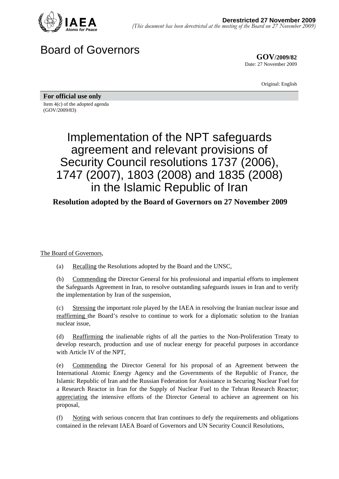

## Board of Governors

**GOV/2009/82** Date: 27 November 2009

Original: English

**For official use only**  Item 4(c) of the adopted agenda (GOV/2009/83)

## Implementation of the NPT safeguards agreement and relevant provisions of Security Council resolutions 1737 (2006), 1747 (2007), 1803 (2008) and 1835 (2008) in the Islamic Republic of Iran

## **Resolution adopted by the Board of Governors on 27 November 2009**

The Board of Governors,

(a) Recalling the Resolutions adopted by the Board and the UNSC,

(b) Commending the Director General for his professional and impartial efforts to implement the Safeguards Agreement in Iran, to resolve outstanding safeguards issues in Iran and to verify the implementation by Iran of the suspension,

(c) Stressing the important role played by the IAEA in resolving the Iranian nuclear issue and reaffirming the Board's resolve to continue to work for a diplomatic solution to the Iranian nuclear issue,

(d) Reaffirming the inalienable rights of all the parties to the Non-Proliferation Treaty to develop research, production and use of nuclear energy for peaceful purposes in accordance with Article IV of the NPT,

(e) Commending the Director General for his proposal of an Agreement between the International Atomic Energy Agency and the Governments of the Republic of France, the Islamic Republic of Iran and the Russian Federation for Assistance in Securing Nuclear Fuel for a Research Reactor in Iran for the Supply of Nuclear Fuel to the Tehran Research Reactor; appreciating the intensive efforts of the Director General to achieve an agreement on his proposal,

(f) Noting with serious concern that Iran continues to defy the requirements and obligations contained in the relevant IAEA Board of Governors and UN Security Council Resolutions,